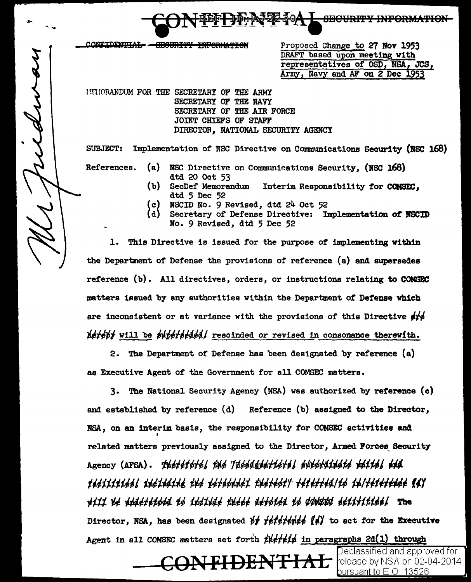CONFIDENTIAL - OBCURITY INFORMATION

Proposed Change to 27 Nov 1953 DRAFT based upon meeting with representatives of OSD, NSA, JCS, Army, Navy and AF on 2 Dec 1953

FIDD: 22240AL SECURITY INFORMATION

lIBI 1DRAimUM FOR THE SECRETARY OF THE ARMY SECRETARY OF THE NAVY SECRETARY OF THE AIR FORCE JOINT CHIEFS OF STAFF DIRECTOR, NATIONAL SECURITY AGENCY

SUBJECT: Implementation of NSC Directive on Communications Security (NSC 168)

References.

retried

- (a) NSC Directive on Communications Security, (NSC 168) dtd 20 Oct 53
- (b) SecDef Memorandum Interim Responsibility for COMSEC. dtd 5 Dec 52
- NSCID No. 9 Revised, dtd 24 Oct 52 (c) |
- $(d)$ Secretary of Defense Directive: Implementation of NSCID No. 9 Revised, dtd 5 Dec 52

1. This Directive is issued for the purpose of implementing within the Department of Defense the provisions of reference (a) and supersedes reference (b). All directives, orders, or instructions relating to COMSBC matters issued by any authorities within the Department of Defense which. are inconsistent or at variance with the provisions of this Directive  $\oint f$  $n \neq r \neq 0$  will be superseded rescinded or revised in consonance therewith.

2. The Department of Defense has been designated by reference (a) as Executive Agent of the Government for all COMSEC matters.

3. The National Security Agency (NSA) was authorized by reference (c) and established by reference (d) Reference (b) assigned to the Director, NSA, on an interim basis, the responsibility for COMSEC activities and related matters previously assigned to the Director, Armed Forces Security Agency (AFSA). The+etote, the *Intendentiete, pubotiliete* white, whit *,,¢ttttt'''* i~¢t~t~i i~¢ 1¢1-~tii¢t tj¢""~i'f *t;t¢fl¢i/PI> /.:IJ./f¢1¢f'-/.tl' (tf*  ~ttt. Y,¢ ~¢r;~ *t'* '/:li..~i"4-¢ t~¢~¢ '¢1~trJ<J. f.rJ ¢¢'f,r/,"1/. *-¢ttftti¢'J* The Director, NSA, has been designated *if féférénee* (4) to act for the Executive Agent in all *COMSEC* matters set forth *t¥.¢-f¢/J.* in paragraphs 2d(l) through

 $\mathbf{QNP}$  **FIDENT**  $\mathbf{HAP}$   $\mathbf{P}^{\mathsf{Declassi}\mathsf{find\ and\ approved\ for\ }\mathsf{DAP}$ 

bursuant to  $\mathsf{E}.\mathsf{O}.$  13526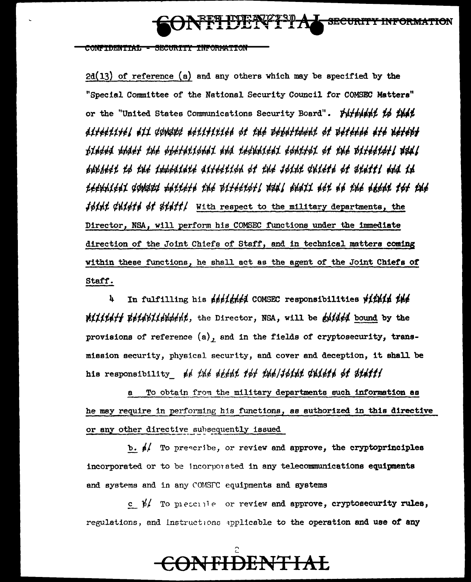<del>iy informa</del> **SECTION** 

#### **CONFIDENTIAL** SECURITY INFORMATION

 $2d(13)$  of reference (a) and any others which may be specified by the ''Special Committee of the National Security Council for COMSEC Mattera" or the "United States Communications Security Board". Pursuant to that *iif¢¢tt1¢J -ti* ¢¢tlfl;t.¢ '¢ti1itt¢~ ~t t~¢ ;¢p-ff;lt,~t ~t ;,;¢~'¢ ,,, ~'f-~1 pinded whder the operational and technical control of the pirector! **Nad!** '~i¢¢t *tr/>* tj¢ -/.:lrtli~i-i¢ ~if¢¢ti~~ ~t f;li.¢ J~l:J.i ~~t¢f- ~f *¢t-fti* ~ -1./J *i¢¢'1P.il-t* ¢~ ~ttif' t~¢ ~tt¢¢"/.r/>f *J* ~' -~~tt ~¢i '' i~¢ ~g~~t *f,1* l:J.~ jøint ¢ui¢tø øt *\$tatt*/ With respect to the military departments, the Director, NSA, will perform his COMSEC functions under the immediate direction of the Joint Chiefs of Staff, and in technical matters coming within these functions, he sha11 act as the agent or the Joint Chiefs *ot*  Staff.

4 In fulfilling his  $d\beta/d\beta$  COMSEC responsibilities  $\gamma/d\beta/d\beta/d\beta$  $M111647$   $B414911694461$ , the Director, NSA, will be  $g_41464$  bound by the provisions of reference  $(a)$ , and in the fields of cryptosecurity, transmission security, physical security, and cover and deception, it shall be his responsibility of the seent tot the joint chiefs of staff!

a To obtain from the military departments such information as he may require in performing his functions, as authorized in this directive or any other directive subsequently issued

 $b.$   $\neq$  To prescribe, or review and approve, the cryptoprinciples incorporated or to be incorporated in any telecommunications equipments and systems and in any COMSFC equipments and systems

 $c_{\mathcal{L}}$   $\frac{1}{\sqrt{2}}$  To piescille or review and approve, cryptosecurity rules, regulations, and instructions applicable to the operation and use of any

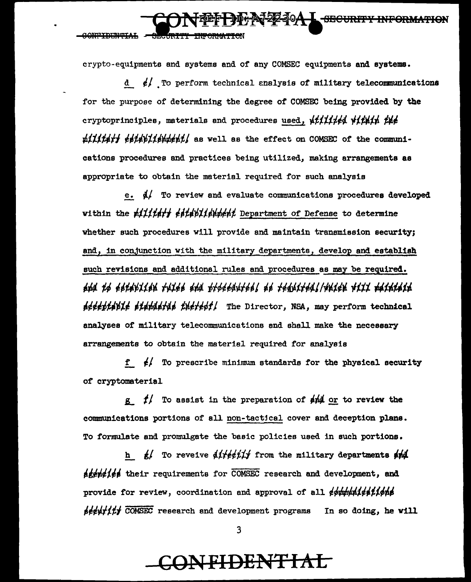crypto-equipments and systems and of any COMSEC equipments and systems.

EF DIE AFRIKAL SECURITY INFORMATION

 $d \neq$  To perform technical analysis of military telecommunications for the purpose of determining the degree of COMSEC being provided by the cryptoprinciples, materials and procedures used,  $\frac{df}{dt}\neq \frac{df}{dt}$  $\#111\#4\#$   $\#14\#14\#14\#4\#1$  as well as the effect on COMSEC of the communications procedures and practices being utilized., making arrangements as appropriate to obtain the material required for such analysis

e.  $\frac{d}{ }$  To review and evaluate communications procedures developed within the  $n$ ilitity estivilewhent Department of Defense to determine whether such procedures will provide and maintain transmission security; and, in conjunction with the military departments, develop and establish such revisions and additional rules and procedures as may be required. *114. U* ¢'#Y,it'1' ft/.¢' -# -Pf~¢¢,#¢'1 -- t~riJif¢,J/y"'trN. *YI.ii* "11.~Uf~ peeeptebie<sup>t</sup> stepeeres thereof/ The Director, NSA, may perform technical analyses of military telecommunications and shall make the necessary arrangements to obtain the material required for analysis

 $f \neq 0$  To prescribe minimum standards for the physical security of cryptomaterial

 $g$   $f/$  To assist in the preparation of  $\frac{f}{f}$  or to review the communications portions of all non-tact1cal cover and deception plane. To formulate and promulgate the basic policies used in such portions.

h g/ To reveive  $\frac{df}{dt}$  from the military departments  $\frac{df}{dt}$  $\frac{d}{d}$  their requirements for COMSEC research and development, and provide for review, coordination and approval of all t/.~.,.·~1'irJ,ttr/>~~  $\frac{d}{dx}$  COMSEC research and development programs In so doing, he will

3

### **CONFIDENTIAL**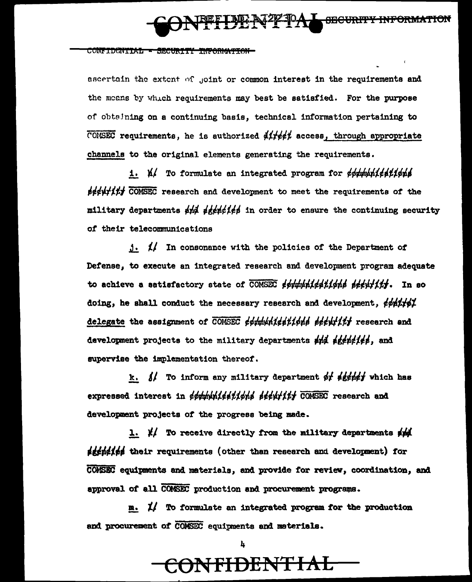

#### CONFIDENTIAL - SECONDY INFORMAT

ascertain the extent of joint or common interest in the requirements and the means by which requirements may best be satisfied. For the purpose of obtaining on a continuing basis, technical information pertaining to COMSEC requirements, he is authorized  $d/t \neq t'$  access, through appropriate channels to the original elements generating the requirements.

1. A/ To formulate an integrated program for ephmunitentions peeutity COMSEC research and development to meet the requirements of the military departments the tet the in order to ensure the continuing security of their telecommunications

 $j.$   $\sharp/$  In consonance with the policies of the Department of Defense, to execute an integrated research and development program adequate to achieve a satisfactory state of COMSEC estudinizentians security. In so doing, he shall conduct the necessary research and development, ephttel delegate the assignment of COMSEC ephmunications seeinfitt research and development projects to the military departments and ageneites, and supervise the implementation thereof.

k.  $\frac{1}{2}$  To inform any military department of  $\frac{1}{2}$   $\frac{1}{2}$  which has expressed interest in ephphilestiphs seenfitty CONSEC research and development projects of the progress being made.

1.  $\sharp$ / To receive directly from the military departments  $\sharp$ p/ stricks their requirements (other then research and development) for COMSEC equipments and materials, and provide for review, coordination, and approval of all COMSEC production and procurement programs.

 $m.$   $1/$  To formulate an integrated program for the production and procurement of COMSEC equipments and materials.

**ONFIDENTIAL** 

4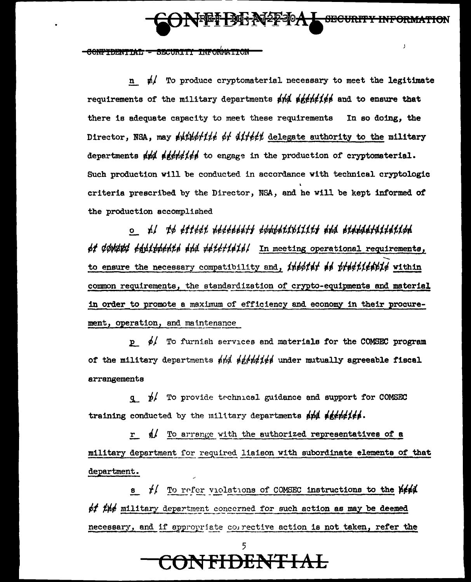# $64$  L security information

J

-CONFIDENTIAL - SECURITY INFORMATION

 $\mathbf{M}'$  To produce cryptomaterial necessary to meet the legitimate  $\mathbf{n}$ requirements of the military departments and agencies and to ensure that there is adequate capacity to meet these requirements In so doing, the Director. NSA, may authorite of direct delegate authority to the military departments and agentified to engage in the production of cryptomaterial. Such production will be conducted in accordance with technical cryptologic criteria prescribed by the Director, NSA, and he will be kept informed of the production accomplished

 $\circ$  h/ to effect necessary compatibility and standardization of dowstd equipments and materials! In meeting operational requirements, to ensure the necessary compatibility and, inegities of precisivity within common requirements, the standardization of crypto-equipments and material in order to promote a maximum of efficiency and economy in their procurement, operation, and maintenance

 $p$   $\phi$ / To furnish services and materials for the COMSEC program of the military departments  $\phi \phi \phi'$   $\phi'$   $\phi'$  and  $\phi'$  and  $\phi'$  are eable fiscal arrangements

 $q \not\!p'$  To provide technical guidance and support for COMSEC training conducted by the military departments and accordict.

r of To arrange with the authorized representatives of a military department for required liaison with subordinate elements of that department.

 $\frac{f}{f}$  To refer violations of COMSEC instructions to the  $\frac{f}{f}$ of the military department concerned for such action as may be deemed necessary, and if appropriate corrective action is not taken, refer the

**NFIDENTIAL**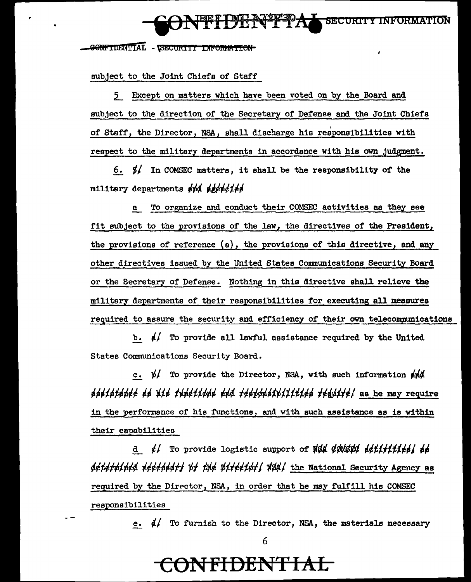**ET HUNGARY CORTY INFORMATION** 

CONFIDENTIAL - ISECURITY INFORMATION

subject to the Joint Chiefs of Staff

5 Except on matters which have been voted on by the Board and subject to the direction of the Secretary of Defense and the Joint Chiefs of Staff, the Director, NSA, shall discharge his responsibilities with respect to the military departments in accordance with his own judgment.

6.  $\frac{d}{dx}$  In COMSEC matters, it shall be the responsibility of the military departments and agencies

a To organize and conduct their COMSEC activities as they see fit subject to the provisions of the law, the directives of the President, the provisions of reference (a), the provisions of this directive, and any other directives issued by the United States Communications Security Board or the Secretary of Defense. Nothing in this directive shall relieve the military departments of their responsibilities for executing all measures required to assure the security and efficiency of their own telecommunications

b.  $\oint$  To provide all lawful assistance required by the United States Communications Security Board.

c.  $\frac{b}{c}$  To provide the Director, NSA, with such information  $\frac{c}{c}$ assistance as wis functions and responsibilities regulie, as he may require in the performance of his functions, and with such assistance as is within their capabilities

d ¢/ To provide logistic support of NSA dowsed detitities/ as deternined neeessary by the pirector, N&A/ the National Security Agency as required by the Director, NSA, in order that he may fulfill his COMSEC responsibilities

e.  $\phi$ / To furnish to the Director, NSA, the materials necessary

6

### <del>ONFIDENTIAL</del>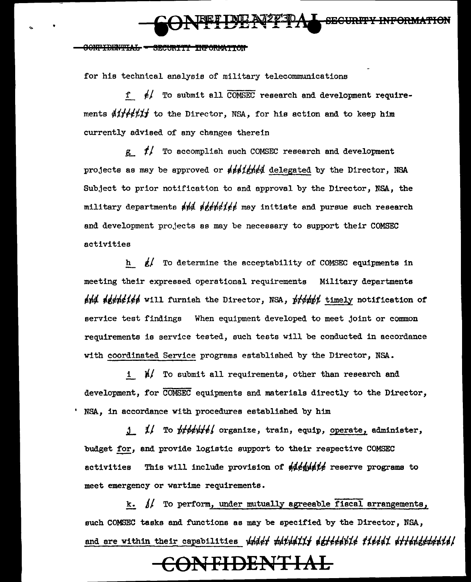#### IONE TENETAL - SECURITY INFO

for hie technlcal analyais of military telecommunications

 $f \neq 1$  To submit all COMSEC research and development requirements  $\frac{1}{4}$ iffititif to the Director, NSA, for his action and to keep him currently advised of any changes therein

**L**SECURITY

 $g$   $f/$  To accomplish such COMSEC research and development projects as may be approved or  $\frac{1}{4}$   $\frac{1}{4}$  delegated by the Director, NSA. Sub,1ect to prior notificatton to and approval by the Director, NSA, the military departments  $\frac{1}{4}$   $\frac{1}{4}$   $\frac{1}{4}$   $\frac{1}{4}$   $\frac{1}{4}$  may initiate and pursue such research and development projects ae may be necessary to support their COMSEC activities

h  $f/f$  To determine the acceptability of COMSEC equipments in meeting their expressed operational requirements Military departments  $_{4}^{4}$   $_{4}^{4}$   $_{4}^{4}$   $_{4}^{4}$   $_{4}^{4}$   $_{4}^{4}$   $_{4}^{4}$   $_{4}^{4}$   $_{4}^{4}$   $_{4}^{4}$   $_{4}^{4}$   $_{4}^{4}$   $_{4}^{4}$   $_{4}^{4}$   $_{4}^{4}$   $_{4}^{4}$   $_{4}^{4}$   $_{4}^{4}$   $_{4}^{4}$   $_{4}^{4}$   $_{4}^{4}$   $_{4}^{4}$   $_{4}^{4}$   $_{4}^{4}$   $_{4}^{$ service test findings When equipment developed to meet joint or common requirements is service tested, such teats will be conducted in accordance with coordinated Service programs established by the Director, NSA.

 $j \neq j$  To submit all requirements, other than research and development, for COMSEC equipments and materials directly to the Director, NSA, in accordance with procedures established by him

j i/ To proprote organize, train, equip, operate, administer, budget for, and provide logistic support to their respective COMSEC activities This will include provision of  $\frac{d}{dx}$   $\frac{d}{dx}$  reserve programs to meet emergency or wartime requirements.

k. *j/* To perform, under mutually agreeable fiscal arrangements, such COMSEC tasks and functions as may be specified by the Director, NSA, and are within their capabilities whder mulually attechted tiesed attentements!

### **CONFIDENTIAL**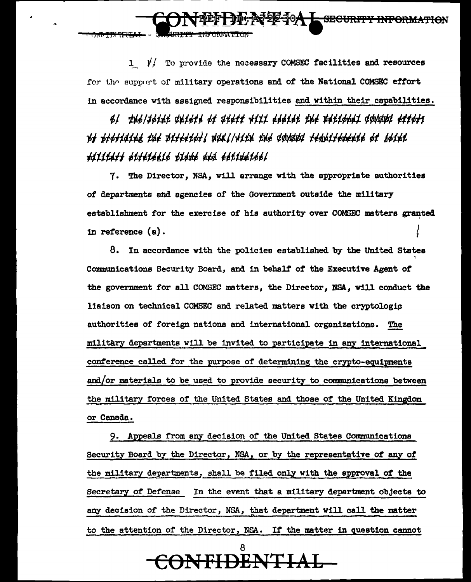2240<del>A L SECURITY INFORMATION</del>

 $1$   $\frac{1}{2}$  To provide the necessary COMSEC facilities and resources for the support of military operations and of the National COMSEC effort in accordance with assigned responsibilities and within their capabilities.

61 rhé/jóint chiété óf stáff vill ássist thé mátiónál comsuc éffofi bf ptøfidink the piteetør), dan //fith the conauc fegnifenente øf løint hilitárf strátésié pláné ánd éstimátési

7. The Director. NSA. will arrange with the appropriate authorities of departments and agencies of the Government outside the military establishment for the exercise of his authority over COMSEC matters granted in reference (a).

8. In accordance with the policies established by the United States Communications Security Board, and in behalf of the Executive Agent of the government for all COMSEC matters, the Director, NSA, will conduct the liaison on technical COMSEC and related matters with the cryptologic authorities of foreign nations and international organizations. The military departments will be invited to participate in any international conference called for the purpose of determining the crypto-equipments and/or materials to be used to provide security to communications between the military forces of the United States and those of the United Kingdom or Canada.

9. Appeals from any decision of the United States Communications Security Board by the Director, NSA, or by the representative of any of the military departments, shall be filed only with the approval of the Secretary of Defense In the event that a military department objects to any decision of the Director, NSA, that department will call the matter to the attention of the Director, NSA. If the matter in question cannot